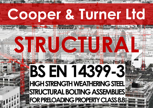# **Cooper & Turner Ltd**

**STRUCTURAL** 

# **BS EN 14399-3 HIGH STRENGTH WEATHERING STEEL** STRUCTURAL BOLTING ASSEMBLIES<br>FOR PRELOADING PROPERTY CLASS 8.8 or liability in respect of the user or information that is found to be incorrect or formation that is found to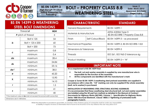

**BS EN 14399-3 High Strength Structural** 

**Bolting Assemblies for Preloading**

# **BOLT – PROPERTY CLASS 8.8 WEATHERING STEEL**

**Issue: 2 Date: 30/01/2015 Approved: M.R.Tiddy Page; 1 of 6**

#### **BS EN 14399-3 WEATHERING STEEL BOLT DIMENSIONS**

| Thread d                                                               |                      | M24   |  |
|------------------------------------------------------------------------|----------------------|-------|--|
| <b>P</b> pitch of thread                                               |                      | 3     |  |
|                                                                        | Bolt $\leq$ 125      | 54    |  |
| b                                                                      | Bolt > $125 \le 200$ | 60    |  |
|                                                                        | Bolt > 200           | 73    |  |
|                                                                        | maximum              | 0.8   |  |
| C                                                                      | minimum              | 0.4   |  |
| da                                                                     | maximum              | 28.4  |  |
| ds                                                                     | maximum              | 24.84 |  |
|                                                                        | minimum              | 23.16 |  |
| dw'                                                                    | minimum              | 38.0  |  |
| е                                                                      | minimum              | 45.20 |  |
| maximum<br>k                                                           |                      | 15.90 |  |
| minimum                                                                |                      | 14.10 |  |
| r                                                                      | minimum              | 1.5   |  |
| S                                                                      | maximum              | 41    |  |
|                                                                        | minimum              |       |  |
| The maximum value of dw shall not exceed the actual width across flats |                      |       |  |
| Dimensions are in millimetres                                          |                      |       |  |

| <b>CHARACTERISTIC</b>        |                   | <b>STANDARD</b>                                         |
|------------------------------|-------------------|---------------------------------------------------------|
| <b>General Requirements</b>  |                   | BS EN 14399-1                                           |
| Materials & Manufacture      |                   | ASTM A325M Type 3<br>BS EN ISO 898-1 Property Class 8.8 |
| Finish                       | Self Colour/Black | BS EN $14399-3 -$ as processed                          |
| <b>Mechanical Properties</b> |                   | BS EN 14399-3, BS EN ISO 898-1 8.8                      |
| Dimensions & Tolerances      |                   | BS EN 14399-3                                           |
| <b>Threads</b>               |                   | ISO 261, ISO 965-2 tolerance 6g                         |
| Product Marking              |                   | BS EN 14399-3 + 'W'                                     |
|                              |                   |                                                         |

#### **IMPORTANT NOTE**

**It is a requirement of BS EN 14399 that:**

- **The bolt, nut and washer assembly is supplied by one manufacturer who is responsible for the function of the assembly**
- **All the components are identified with the manufacturer's mark**

**Cooper & Turner BS EN 14399-3 weathering steel preload assemblies are supplied in accordance with** *k* **class K0. "CE" marking can only be supplied if the whole assembly (bolt, nut & washer) is purchased.**

#### **INSTALLATION OF WEATHERING STEEL STRUCTURAL BOLTING ASSEMBLIES**

**It is recommended that these weathering steel structural bolt, nut and washer assemblies are installed using the UK part turn method as detailed in the Manual of Contract Documents for Highway Works (MCHW), Volume 1 - Specification for Highway Works Series 1800 Structural Steelwork, Clause 1808.5.1 Tightening of preloaded bolts paragraphs 4 and 5.**

**Whilst the information is provided in good faith, no member of the Andaray group of companies shall be under any responsibility or liability in respect of errors or information that is found to be incorrect or for any reliance the user may place on it**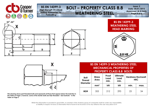



**This drawing shows part threaded bolts and represents all those that appear below the bold line in the Table on Page 3, however, some of the shorter bolts are fully threaded – See footnote** 1) **in the Table on Page 3**

#### **BS EN 14399-3 WEATHERING STEEL MECHANICAL PROPERTIES OF PROPERTY CLASS 8.8 BOLTS**

| <b>Bolt</b><br><b>Thread</b><br><b>Diameter</b> | <b>Stress</b><br>Area | Proof<br>Load<br>min. | <b>Ultimate</b><br>Load<br>min. | <b>Hardness Rockwell</b> | <b>HRC</b> |
|-------------------------------------------------|-----------------------|-----------------------|---------------------------------|--------------------------|------------|
|                                                 | mm <sup>2</sup>       | kN                    | kN                              | min.                     | max.       |
| M24                                             | 353                   | 212                   | 293                             | 23                       | 34         |

**Whilst the information is provided in good faith, no member of the Andaray group of companies shall be under any responsibility or liability in respect of errors or information that is found to be incorrect or for any reliance the user may place on it**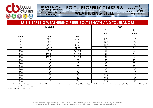

**BS EN 14399-3 High Strength Structural** 

**Bolting Assemblies for** 

**Preloading**

# **BOLT – PROPERTY CLASS 8.8 WEATHERING STEEL**

**Issue: 2 Date: 30/01/2015 Approved: M.R.Tiddy Page 3 of 6**

| <b>BS EN 14399-3 WEATHERING STEEL BOLT LENGTH AND TOLERANCES</b> |                 |                                                                                                                                                                                        |                       |                 |  |
|------------------------------------------------------------------|-----------------|----------------------------------------------------------------------------------------------------------------------------------------------------------------------------------------|-----------------------|-----------------|--|
|                                                                  | <b>Thread d</b> |                                                                                                                                                                                        | M24                   |                 |  |
|                                                                  |                 |                                                                                                                                                                                        | $\mathsf{ls}$<br>min. | lg<br>max.      |  |
| nom.                                                             | min.            | max.                                                                                                                                                                                   |                       |                 |  |
| 60                                                               | 58.5            | 61.5                                                                                                                                                                                   | FT <sup>1</sup>       | FT <sup>1</sup> |  |
| 70                                                               | 68.5            | 71.5                                                                                                                                                                                   | 12 <sup>1</sup>       | 17 <sup>1</sup> |  |
| 80                                                               | 78.5            | 81.5                                                                                                                                                                                   | 12 <sup>1</sup>       | 17 <sup>1</sup> |  |
| 90                                                               | 88.25           | 91.75                                                                                                                                                                                  | 21                    | 36              |  |
| 100                                                              | 98.25           | 101.75                                                                                                                                                                                 | 31                    | 46              |  |
| 110                                                              | 108.25          | 111.75                                                                                                                                                                                 | 41                    | 56              |  |
| 120                                                              | 118.25          | 121.75                                                                                                                                                                                 | 51                    | 66              |  |
| 130                                                              | 128             | 132                                                                                                                                                                                    | 55                    | 70              |  |
| 140                                                              | 138             | 142                                                                                                                                                                                    | 65                    | 80              |  |
| 150                                                              | 148             | 152                                                                                                                                                                                    | 75                    | 90              |  |
| 160                                                              | 156             | 164                                                                                                                                                                                    | 85                    | 100             |  |
| 170                                                              | 166             | 174                                                                                                                                                                                    | 95                    | 110             |  |
| 180                                                              | 176             | 184                                                                                                                                                                                    | 105                   | 120             |  |
| 190                                                              | 186             | 194                                                                                                                                                                                    | 115                   | 130             |  |
| 200                                                              | 196             | 204                                                                                                                                                                                    | 125                   | 140             |  |
| be manufactured fully threaded<br>Dimensions are in millimetres  |                 | 1) Bolts shown above the bold line have sufficient thread to meet the requirements of EN 1090-2. FT indicates fully threaded and in the near future all bolts above the bold line will |                       |                 |  |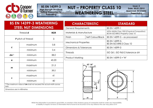

**BS EN 14399-3 High Strength Structural Bolting Assemblies for** 

**Preloading**

# **NUT – PROPERTY CLASS 10 WEATHERING STEEL**

**Issue: 2 Date: 30/01/2015 Approved: M.R.Tiddy Page 4 of 6**

#### **BS EN 14399-3 WEATHERING STEEL NUT DIMENSIONS**

| Thread <b>d</b>                                                                          |         | M24   |  |
|------------------------------------------------------------------------------------------|---------|-------|--|
| <b>P</b> pitch of thread                                                                 |         | 3     |  |
|                                                                                          | maximum |       |  |
| C                                                                                        | minimum | 0.4   |  |
| dw'                                                                                      | minimum | 38.0  |  |
| е                                                                                        | minimum | 45.20 |  |
|                                                                                          | maximum | 21.5  |  |
| m                                                                                        | minimum | 20.2  |  |
| maximum                                                                                  |         | 41    |  |
| S                                                                                        | minimum | 40    |  |
| <sup>1</sup> ) The maximum value of dw shall not exceed the actual width across<br>flats |         |       |  |
| Dimensions are in millimetres                                                            |         |       |  |

| <b>CHARACTERISTIC</b>        |                   | <b>STANDARD</b>                                                                   |  |
|------------------------------|-------------------|-----------------------------------------------------------------------------------|--|
| <b>General Requirements</b>  |                   | BS EN 14399-1                                                                     |  |
| Materials & Manufacture      |                   | ASTM A563M Class 10S3 (Chemical Composition)<br>BS EN ISO 898-2 Property Class 10 |  |
| Finish                       | Self Colour/Black | BS EN $14399-3 -$ as processed                                                    |  |
| <b>Mechanical Properties</b> |                   | BS EN 14399-3,<br><b>BS EN ISO 898-2 Class 10</b>                                 |  |
| Dimensions & Tolerances      |                   | BS EN 14399-3                                                                     |  |
| <b>Threads</b>               |                   | ISO 261, ISO 965-2 tolerance 6H                                                   |  |
| Product Marking              |                   | BS EN 14399-3 +'W'                                                                |  |



**Whilst the information is provided in good faith, no member of the Andaray group of companies shall be under any responsibility or liability in respect of errors or information that is found to be incorrect or for any reliance the user may place on it**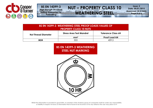

**BS EN 14399-3 High Strength Structural** 

**Bolting Assemblies for Preloading**

# **NUT – PROPERTY CLASS 10 WEATHERING STEEL**

**Issue: 2 Date: 30/01/2015 Approved: M.R.Tiddy Page 5 of 6**

| <b>BS EN 14399-3 WEATHERING STEEL PROOF LOADS VALUES OF</b><br><b>PROPERTY CLASS 10 NUTS</b> |                                                              |                      |  |
|----------------------------------------------------------------------------------------------|--------------------------------------------------------------|----------------------|--|
| <b>Nut Thread Diameter</b>                                                                   | <b>Stress Area Test Mandrel</b><br><b>Tolerance Class 6H</b> |                      |  |
|                                                                                              | mm <sup>2</sup>                                              | <b>Proof Load kN</b> |  |
| M24                                                                                          | 353                                                          | 409.5                |  |

#### **BS EN 14399-3 WEATHERING STEEL NUT MARKING**